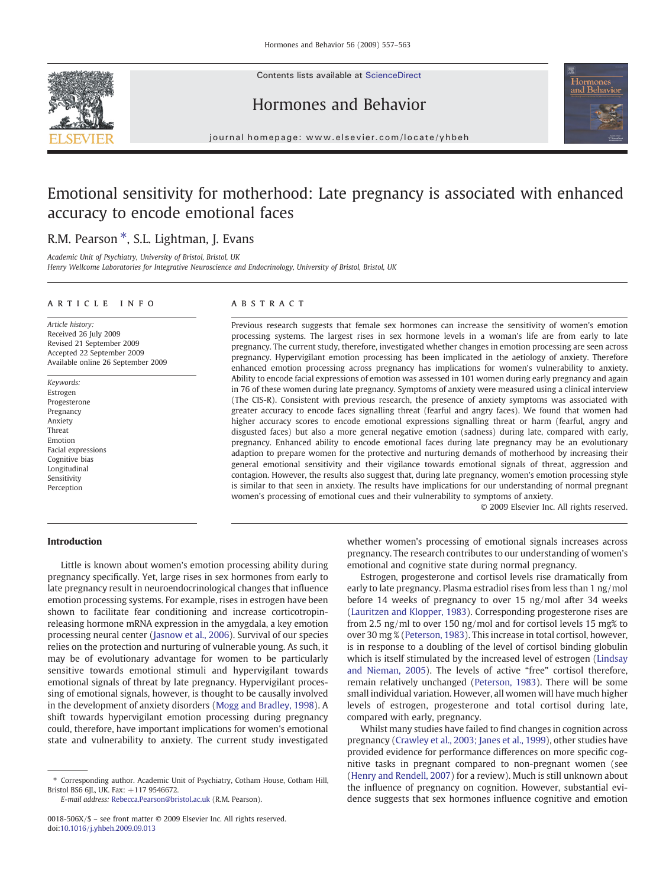Contents lists available at ScienceDirect







journal homepage: www.elsevier.com/locate/yhbeh

## Emotional sensitivity for motherhood: Late pregnancy is associated with enhanced accuracy to encode emotional faces

### R.M. Pearson<sup>\*</sup>, S.L. Lightman, J. Evans

Academic Unit of Psychiatry, University of Bristol, Bristol, UK

Henry Wellcome Laboratories for Integrative Neuroscience and Endocrinology, University of Bristol, Bristol, UK

#### article info abstract

Article history: Received 26 July 2009 Revised 21 September 2009 Accepted 22 September 2009 Available online 26 September 2009

Keywords: Estrogen Progesterone Pregnancy Anxiety Threat Emotion Facial expressions Cognitive bias Longitudinal Sensitivity Perception

Previous research suggests that female sex hormones can increase the sensitivity of women's emotion processing systems. The largest rises in sex hormone levels in a woman's life are from early to late pregnancy. The current study, therefore, investigated whether changes in emotion processing are seen across pregnancy. Hypervigilant emotion processing has been implicated in the aetiology of anxiety. Therefore enhanced emotion processing across pregnancy has implications for women's vulnerability to anxiety. Ability to encode facial expressions of emotion was assessed in 101 women during early pregnancy and again in 76 of these women during late pregnancy. Symptoms of anxiety were measured using a clinical interview (The CIS-R). Consistent with previous research, the presence of anxiety symptoms was associated with greater accuracy to encode faces signalling threat (fearful and angry faces). We found that women had higher accuracy scores to encode emotional expressions signalling threat or harm (fearful, angry and disgusted faces) but also a more general negative emotion (sadness) during late, compared with early, pregnancy. Enhanced ability to encode emotional faces during late pregnancy may be an evolutionary adaption to prepare women for the protective and nurturing demands of motherhood by increasing their general emotional sensitivity and their vigilance towards emotional signals of threat, aggression and contagion. However, the results also suggest that, during late pregnancy, women's emotion processing style is similar to that seen in anxiety. The results have implications for our understanding of normal pregnant women's processing of emotional cues and their vulnerability to symptoms of anxiety.

© 2009 Elsevier Inc. All rights reserved.

### Introduction

Little is known about women's emotion processing ability during pregnancy specifically. Yet, large rises in sex hormones from early to late pregnancy result in neuroendocrinological changes that influence emotion processing systems. For example, rises in estrogen have been shown to facilitate fear conditioning and increase corticotropinreleasing hormone mRNA expression in the amygdala, a key emotion processing neural center [\(Jasnow et al., 2006\)](#page--1-0). Survival of our species relies on the protection and nurturing of vulnerable young. As such, it may be of evolutionary advantage for women to be particularly sensitive towards emotional stimuli and hypervigilant towards emotional signals of threat by late pregnancy. Hypervigilant processing of emotional signals, however, is thought to be causally involved in the development of anxiety disorders [\(Mogg and Bradley, 1998\)](#page--1-0). A shift towards hypervigilant emotion processing during pregnancy could, therefore, have important implications for women's emotional state and vulnerability to anxiety. The current study investigated

E-mail address: [Rebecca.Pearson@bristol.ac.uk](mailto:Rebecca.Pearson@bristol.ac.uk) (R.M. Pearson).

whether women's processing of emotional signals increases across pregnancy. The research contributes to our understanding of women's emotional and cognitive state during normal pregnancy.

Estrogen, progesterone and cortisol levels rise dramatically from early to late pregnancy. Plasma estradiol rises from less than 1 ng/mol before 14 weeks of pregnancy to over 15 ng/mol after 34 weeks [\(Lauritzen and Klopper, 1983](#page--1-0)). Corresponding progesterone rises are from 2.5 ng/ml to over 150 ng/mol and for cortisol levels 15 mg% to over 30 mg % [\(Peterson, 1983\)](#page--1-0). This increase in total cortisol, however, is in response to a doubling of the level of cortisol binding globulin which is itself stimulated by the increased level of estrogen ([Lindsay](#page--1-0) [and Nieman, 2005\)](#page--1-0). The levels of active "free" cortisol therefore, remain relatively unchanged ([Peterson, 1983\)](#page--1-0). There will be some small individual variation. However, all women will have much higher levels of estrogen, progesterone and total cortisol during late, compared with early, pregnancy.

Whilst many studies have failed to find changes in cognition across pregnancy ([Crawley et al., 2003; Janes et al., 1999](#page--1-0)), other studies have provided evidence for performance differences on more specific cognitive tasks in pregnant compared to non-pregnant women (see [\(Henry and Rendell, 2007](#page--1-0)) for a review). Much is still unknown about the influence of pregnancy on cognition. However, substantial evidence suggests that sex hormones influence cognitive and emotion

<sup>⁎</sup> Corresponding author. Academic Unit of Psychiatry, Cotham House, Cotham Hill, Bristol BS6 6JL, UK. Fax: +117 9546672.

<sup>0018-506</sup>X/\$ – see front matter © 2009 Elsevier Inc. All rights reserved. doi:[10.1016/j.yhbeh.2009.09.013](http://dx.doi.org/10.1016/j.yhbeh.2009.09.013)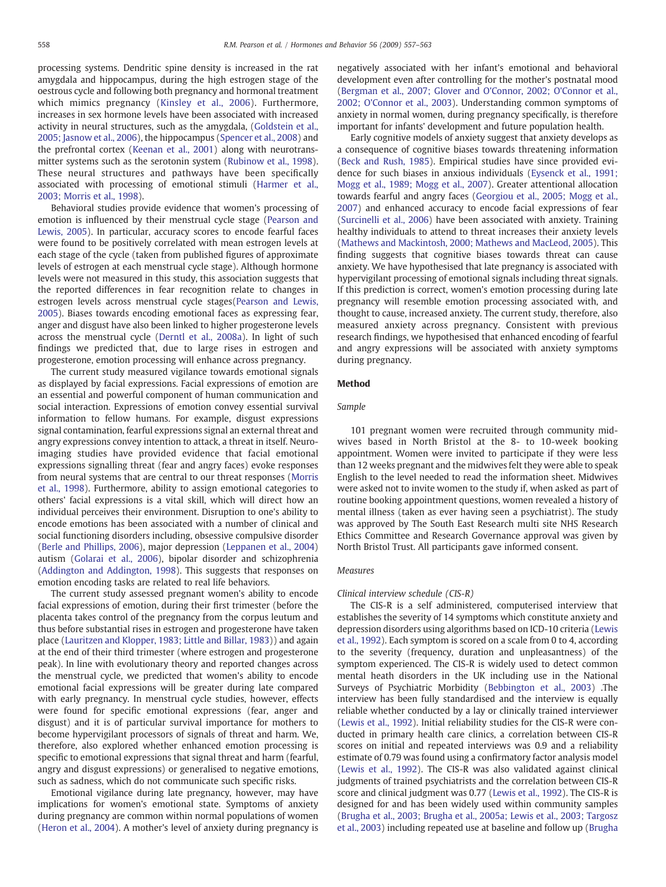processing systems. Dendritic spine density is increased in the rat amygdala and hippocampus, during the high estrogen stage of the oestrous cycle and following both pregnancy and hormonal treatment which mimics pregnancy ([Kinsley et al., 2006](#page--1-0)). Furthermore, increases in sex hormone levels have been associated with increased activity in neural structures, such as the amygdala, ([Goldstein et al.,](#page--1-0) [2005; Jasnow et al., 2006](#page--1-0)), the hippocampus [\(Spencer et al., 2008](#page--1-0)) and the prefrontal cortex ([Keenan et al., 2001](#page--1-0)) along with neurotransmitter systems such as the serotonin system ([Rubinow et al., 1998](#page--1-0)). These neural structures and pathways have been specifically associated with processing of emotional stimuli ([Harmer et al.,](#page--1-0) [2003; Morris et al., 1998\)](#page--1-0).

Behavioral studies provide evidence that women's processing of emotion is influenced by their menstrual cycle stage [\(Pearson and](#page--1-0) [Lewis, 2005\)](#page--1-0). In particular, accuracy scores to encode fearful faces were found to be positively correlated with mean estrogen levels at each stage of the cycle (taken from published figures of approximate levels of estrogen at each menstrual cycle stage). Although hormone levels were not measured in this study, this association suggests that the reported differences in fear recognition relate to changes in estrogen levels across menstrual cycle stages[\(Pearson and Lewis,](#page--1-0) [2005\)](#page--1-0). Biases towards encoding emotional faces as expressing fear, anger and disgust have also been linked to higher progesterone levels across the menstrual cycle [\(Derntl et al., 2008a](#page--1-0)). In light of such findings we predicted that, due to large rises in estrogen and progesterone, emotion processing will enhance across pregnancy.

The current study measured vigilance towards emotional signals as displayed by facial expressions. Facial expressions of emotion are an essential and powerful component of human communication and social interaction. Expressions of emotion convey essential survival information to fellow humans. For example, disgust expressions signal contamination, fearful expressions signal an external threat and angry expressions convey intention to attack, a threat in itself. Neuroimaging studies have provided evidence that facial emotional expressions signalling threat (fear and angry faces) evoke responses from neural systems that are central to our threat responses ([Morris](#page--1-0) [et al., 1998](#page--1-0)). Furthermore, ability to assign emotional categories to others' facial expressions is a vital skill, which will direct how an individual perceives their environment. Disruption to one's ability to encode emotions has been associated with a number of clinical and social functioning disorders including, obsessive compulsive disorder [\(Berle and Phillips, 2006](#page--1-0)), major depression ([Leppanen et al., 2004](#page--1-0)) autism ([Golarai et al., 2006](#page--1-0)), bipolar disorder and schizophrenia [\(Addington and Addington, 1998](#page--1-0)). This suggests that responses on emotion encoding tasks are related to real life behaviors.

The current study assessed pregnant women's ability to encode facial expressions of emotion, during their first trimester (before the placenta takes control of the pregnancy from the corpus leutum and thus before substantial rises in estrogen and progesterone have taken place [\(Lauritzen and Klopper, 1983; Little and Billar, 1983](#page--1-0))) and again at the end of their third trimester (where estrogen and progesterone peak). In line with evolutionary theory and reported changes across the menstrual cycle, we predicted that women's ability to encode emotional facial expressions will be greater during late compared with early pregnancy. In menstrual cycle studies, however, effects were found for specific emotional expressions (fear, anger and disgust) and it is of particular survival importance for mothers to become hypervigilant processors of signals of threat and harm. We, therefore, also explored whether enhanced emotion processing is specific to emotional expressions that signal threat and harm (fearful, angry and disgust expressions) or generalised to negative emotions, such as sadness, which do not communicate such specific risks.

Emotional vigilance during late pregnancy, however, may have implications for women's emotional state. Symptoms of anxiety during pregnancy are common within normal populations of women [\(Heron et al., 2004\)](#page--1-0). A mother's level of anxiety during pregnancy is negatively associated with her infant's emotional and behavioral development even after controlling for the mother's postnatal mood [\(Bergman et al., 2007; Glover and O'Connor, 2002; O'Connor et al.,](#page--1-0) [2002; O'Connor et al., 2003](#page--1-0)). Understanding common symptoms of anxiety in normal women, during pregnancy specifically, is therefore important for infants' development and future population health.

Early cognitive models of anxiety suggest that anxiety develops as a consequence of cognitive biases towards threatening information [\(Beck and Rush, 1985](#page--1-0)). Empirical studies have since provided evidence for such biases in anxious individuals [\(Eysenck et al., 1991;](#page--1-0) [Mogg et al., 1989; Mogg et al., 2007](#page--1-0)). Greater attentional allocation towards fearful and angry faces ([Georgiou et al., 2005; Mogg et al.,](#page--1-0) [2007\)](#page--1-0) and enhanced accuracy to encode facial expressions of fear [\(Surcinelli et al., 2006](#page--1-0)) have been associated with anxiety. Training healthy individuals to attend to threat increases their anxiety levels [\(Mathews and Mackintosh, 2000; Mathews and MacLeod, 2005\)](#page--1-0). This finding suggests that cognitive biases towards threat can cause anxiety. We have hypothesised that late pregnancy is associated with hypervigilant processing of emotional signals including threat signals. If this prediction is correct, women's emotion processing during late pregnancy will resemble emotion processing associated with, and thought to cause, increased anxiety. The current study, therefore, also measured anxiety across pregnancy. Consistent with previous research findings, we hypothesised that enhanced encoding of fearful and angry expressions will be associated with anxiety symptoms during pregnancy.

#### Method

#### Sample

101 pregnant women were recruited through community midwives based in North Bristol at the 8- to 10-week booking appointment. Women were invited to participate if they were less than 12 weeks pregnant and the midwives felt they were able to speak English to the level needed to read the information sheet. Midwives were asked not to invite women to the study if, when asked as part of routine booking appointment questions, women revealed a history of mental illness (taken as ever having seen a psychiatrist). The study was approved by The South East Research multi site NHS Research Ethics Committee and Research Governance approval was given by North Bristol Trust. All participants gave informed consent.

#### Measures

#### Clinical interview schedule (CIS-R)

The CIS-R is a self administered, computerised interview that establishes the severity of 14 symptoms which constitute anxiety and depression disorders using algorithms based on ICD-10 criteria [\(Lewis](#page--1-0) [et al., 1992\)](#page--1-0). Each symptom is scored on a scale from 0 to 4, according to the severity (frequency, duration and unpleasantness) of the symptom experienced. The CIS-R is widely used to detect common mental heath disorders in the UK including use in the National Surveys of Psychiatric Morbidity ([Bebbington et al., 2003](#page--1-0)) .The interview has been fully standardised and the interview is equally reliable whether conducted by a lay or clinically trained interviewer [\(Lewis et al., 1992\)](#page--1-0). Initial reliability studies for the CIS-R were conducted in primary health care clinics, a correlation between CIS-R scores on initial and repeated interviews was 0.9 and a reliability estimate of 0.79 was found using a confirmatory factor analysis model [\(Lewis et al., 1992](#page--1-0)). The CIS-R was also validated against clinical judgments of trained psychiatrists and the correlation between CIS-R score and clinical judgment was 0.77 ([Lewis et al., 1992\)](#page--1-0). The CIS-R is designed for and has been widely used within community samples [\(Brugha et al., 2003; Brugha et al., 2005a; Lewis et al., 2003; Targosz](#page--1-0) [et al., 2003\)](#page--1-0) including repeated use at baseline and follow up ([Brugha](#page--1-0)